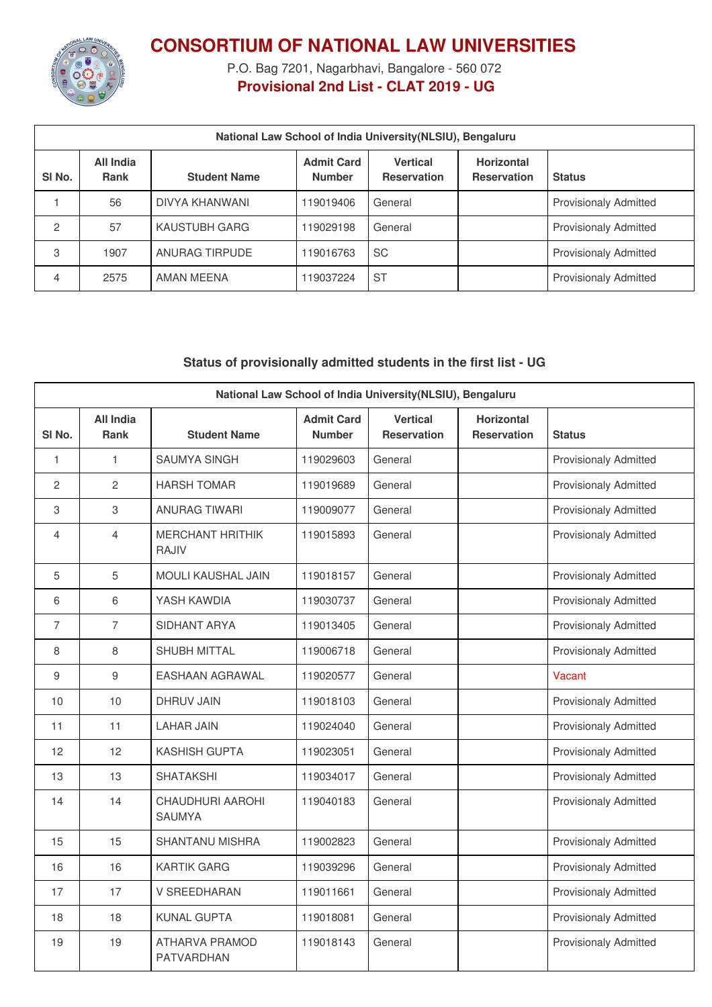

**CONSORTIUM OF NATIONAL LAW UNIVERSITIES**

P.O. Bag 7201, Nagarbhavi, Bangalore - 560 072 **Provisional 2nd List - CLAT 2019 - UG**

| National Law School of India University (NLSIU), Bengaluru |                          |                      |                                    |                                       |                                         |                              |
|------------------------------------------------------------|--------------------------|----------------------|------------------------------------|---------------------------------------|-----------------------------------------|------------------------------|
| SI <sub>No.</sub>                                          | All India<br><b>Rank</b> | <b>Student Name</b>  | <b>Admit Card</b><br><b>Number</b> | <b>Vertical</b><br><b>Reservation</b> | <b>Horizontal</b><br><b>Reservation</b> | <b>Status</b>                |
|                                                            | 56                       | DIVYA KHANWANI       | 119019406                          | General                               |                                         | <b>Provisionaly Admitted</b> |
| 2                                                          | 57                       | <b>KAUSTUBH GARG</b> | 119029198                          | General                               |                                         | <b>Provisionaly Admitted</b> |
| 3                                                          | 1907                     | ANURAG TIRPUDE       | 119016763                          | <b>SC</b>                             |                                         | <b>Provisionaly Admitted</b> |
| 4                                                          | 2575                     | AMAN MEENA           | 119037224                          | <b>ST</b>                             |                                         | <b>Provisionaly Admitted</b> |

## **Status of provisionally admitted students in the first list - UG**

| National Law School of India University(NLSIU), Bengaluru |                                 |                                            |                                    |                                       |                                         |                              |
|-----------------------------------------------------------|---------------------------------|--------------------------------------------|------------------------------------|---------------------------------------|-----------------------------------------|------------------------------|
| SI <sub>No.</sub>                                         | <b>All India</b><br><b>Rank</b> | <b>Student Name</b>                        | <b>Admit Card</b><br><b>Number</b> | <b>Vertical</b><br><b>Reservation</b> | <b>Horizontal</b><br><b>Reservation</b> | <b>Status</b>                |
| $\mathbf{1}$                                              | $\mathbf{1}$                    | <b>SAUMYA SINGH</b>                        | 119029603                          | General                               |                                         | <b>Provisionaly Admitted</b> |
| 2                                                         | 2                               | <b>HARSH TOMAR</b>                         | 119019689                          | General                               |                                         | <b>Provisionaly Admitted</b> |
| 3                                                         | $\,3$                           | <b>ANURAG TIWARI</b>                       | 119009077                          | General                               |                                         | <b>Provisionaly Admitted</b> |
| 4                                                         | $\overline{4}$                  | <b>MERCHANT HRITHIK</b><br><b>RAJIV</b>    | 119015893                          | General                               |                                         | <b>Provisionaly Admitted</b> |
| 5                                                         | 5                               | <b>MOULI KAUSHAL JAIN</b>                  | 119018157                          | General                               |                                         | <b>Provisionaly Admitted</b> |
| 6                                                         | 6                               | YASH KAWDIA                                | 119030737                          | General                               |                                         | <b>Provisionaly Admitted</b> |
| $\overline{7}$                                            | $\overline{7}$                  | SIDHANT ARYA                               | 119013405                          | General                               |                                         | <b>Provisionaly Admitted</b> |
| 8                                                         | 8                               | <b>SHUBH MITTAL</b>                        | 119006718                          | General                               |                                         | <b>Provisionaly Admitted</b> |
| 9                                                         | $\boldsymbol{9}$                | <b>EASHAAN AGRAWAL</b>                     | 119020577                          | General                               |                                         | Vacant                       |
| 10                                                        | 10                              | <b>DHRUV JAIN</b>                          | 119018103                          | General                               |                                         | <b>Provisionaly Admitted</b> |
| 11                                                        | 11                              | <b>LAHAR JAIN</b>                          | 119024040                          | General                               |                                         | <b>Provisionaly Admitted</b> |
| 12                                                        | 12                              | <b>KASHISH GUPTA</b>                       | 119023051                          | General                               |                                         | <b>Provisionaly Admitted</b> |
| 13                                                        | 13                              | <b>SHATAKSHI</b>                           | 119034017                          | General                               |                                         | <b>Provisionaly Admitted</b> |
| 14                                                        | 14                              | <b>CHAUDHURI AAROHI</b><br><b>SAUMYA</b>   | 119040183                          | General                               |                                         | <b>Provisionaly Admitted</b> |
| 15                                                        | 15                              | <b>SHANTANU MISHRA</b>                     | 119002823                          | General                               |                                         | <b>Provisionaly Admitted</b> |
| 16                                                        | 16                              | <b>KARTIK GARG</b>                         | 119039296                          | General                               |                                         | <b>Provisionaly Admitted</b> |
| 17                                                        | 17                              | <b>V SREEDHARAN</b>                        | 119011661                          | General                               |                                         | <b>Provisionaly Admitted</b> |
| 18                                                        | 18                              | <b>KUNAL GUPTA</b>                         | 119018081                          | General                               |                                         | <b>Provisionaly Admitted</b> |
| 19                                                        | 19                              | <b>ATHARVA PRAMOD</b><br><b>PATVARDHAN</b> | 119018143                          | General                               |                                         | <b>Provisionaly Admitted</b> |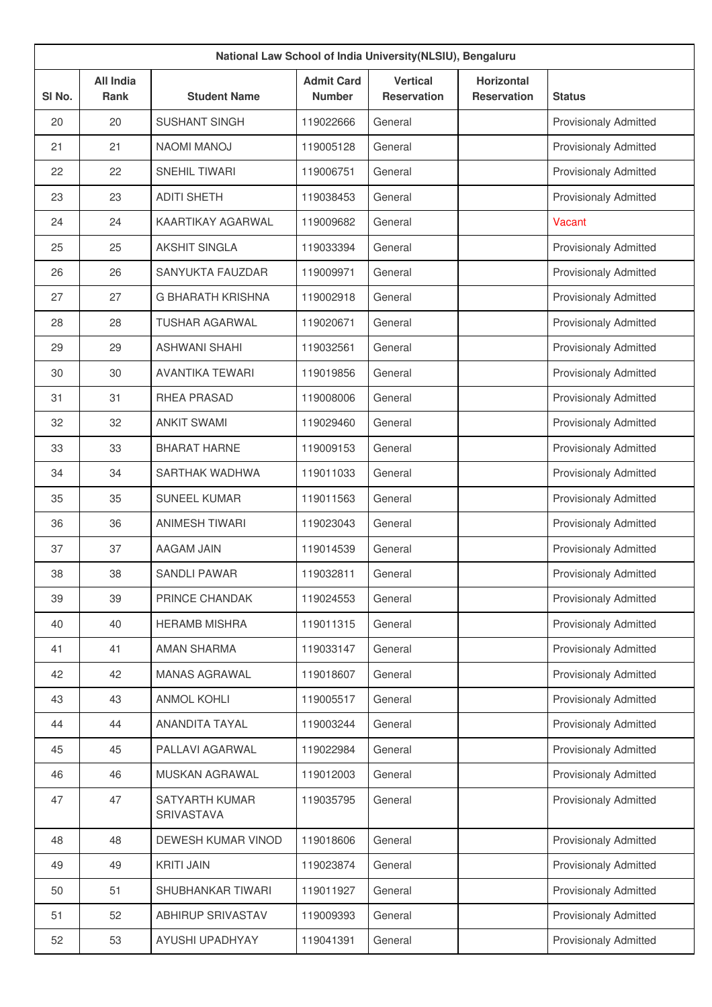| National Law School of India University (NLSIU), Bengaluru |                          |                              |                                    |                                       |                                         |                              |
|------------------------------------------------------------|--------------------------|------------------------------|------------------------------------|---------------------------------------|-----------------------------------------|------------------------------|
| SI <sub>No.</sub>                                          | <b>All India</b><br>Rank | <b>Student Name</b>          | <b>Admit Card</b><br><b>Number</b> | <b>Vertical</b><br><b>Reservation</b> | <b>Horizontal</b><br><b>Reservation</b> | <b>Status</b>                |
| 20                                                         | 20                       | <b>SUSHANT SINGH</b>         | 119022666                          | General                               |                                         | <b>Provisionaly Admitted</b> |
| 21                                                         | 21                       | <b>NAOMI MANOJ</b>           | 119005128                          | General                               |                                         | <b>Provisionaly Admitted</b> |
| 22                                                         | 22                       | <b>SNEHIL TIWARI</b>         | 119006751                          | General                               |                                         | <b>Provisionaly Admitted</b> |
| 23                                                         | 23                       | <b>ADITI SHETH</b>           | 119038453                          | General                               |                                         | <b>Provisionaly Admitted</b> |
| 24                                                         | 24                       | KAARTIKAY AGARWAL            | 119009682                          | General                               |                                         | Vacant                       |
| 25                                                         | 25                       | <b>AKSHIT SINGLA</b>         | 119033394                          | General                               |                                         | Provisionaly Admitted        |
| 26                                                         | 26                       | SANYUKTA FAUZDAR             | 119009971                          | General                               |                                         | <b>Provisionaly Admitted</b> |
| 27                                                         | 27                       | <b>G BHARATH KRISHNA</b>     | 119002918                          | General                               |                                         | <b>Provisionaly Admitted</b> |
| 28                                                         | 28                       | <b>TUSHAR AGARWAL</b>        | 119020671                          | General                               |                                         | <b>Provisionaly Admitted</b> |
| 29                                                         | 29                       | <b>ASHWANI SHAHI</b>         | 119032561                          | General                               |                                         | <b>Provisionaly Admitted</b> |
| 30                                                         | 30                       | <b>AVANTIKA TEWARI</b>       | 119019856                          | General                               |                                         | <b>Provisionaly Admitted</b> |
| 31                                                         | 31                       | RHEA PRASAD                  | 119008006                          | General                               |                                         | <b>Provisionaly Admitted</b> |
| 32                                                         | 32                       | <b>ANKIT SWAMI</b>           | 119029460                          | General                               |                                         | <b>Provisionaly Admitted</b> |
| 33                                                         | 33                       | <b>BHARAT HARNE</b>          | 119009153                          | General                               |                                         | Provisionaly Admitted        |
| 34                                                         | 34                       | SARTHAK WADHWA               | 119011033                          | General                               |                                         | <b>Provisionaly Admitted</b> |
| 35                                                         | 35                       | <b>SUNEEL KUMAR</b>          | 119011563                          | General                               |                                         | <b>Provisionaly Admitted</b> |
| 36                                                         | 36                       | <b>ANIMESH TIWARI</b>        | 119023043                          | General                               |                                         | <b>Provisionaly Admitted</b> |
| 37                                                         | 37                       | <b>AAGAM JAIN</b>            | 119014539                          | General                               |                                         | <b>Provisionaly Admitted</b> |
| 38                                                         | 38                       | <b>SANDLI PAWAR</b>          | 119032811                          | General                               |                                         | <b>Provisionaly Admitted</b> |
| 39                                                         | 39                       | PRINCE CHANDAK               | 119024553                          | General                               |                                         | <b>Provisionaly Admitted</b> |
| 40                                                         | 40                       | <b>HERAMB MISHRA</b>         | 119011315                          | General                               |                                         | <b>Provisionaly Admitted</b> |
| 41                                                         | 41                       | <b>AMAN SHARMA</b>           | 119033147                          | General                               |                                         | <b>Provisionaly Admitted</b> |
| 42                                                         | 42                       | <b>MANAS AGRAWAL</b>         | 119018607                          | General                               |                                         | <b>Provisionaly Admitted</b> |
| 43                                                         | 43                       | <b>ANMOL KOHLI</b>           | 119005517                          | General                               |                                         | <b>Provisionaly Admitted</b> |
| 44                                                         | 44                       | ANANDITA TAYAL               | 119003244                          | General                               |                                         | <b>Provisionaly Admitted</b> |
| 45                                                         | 45                       | PALLAVI AGARWAL              | 119022984                          | General                               |                                         | Provisionaly Admitted        |
| 46                                                         | 46                       | MUSKAN AGRAWAL               | 119012003                          | General                               |                                         | Provisionaly Admitted        |
| 47                                                         | 47                       | SATYARTH KUMAR<br>SRIVASTAVA | 119035795                          | General                               |                                         | <b>Provisionaly Admitted</b> |
| 48                                                         | 48                       | DEWESH KUMAR VINOD           | 119018606                          | General                               |                                         | <b>Provisionaly Admitted</b> |
| 49                                                         | 49                       | <b>KRITI JAIN</b>            | 119023874                          | General                               |                                         | <b>Provisionaly Admitted</b> |
| 50                                                         | 51                       | SHUBHANKAR TIWARI            | 119011927                          | General                               |                                         | Provisionaly Admitted        |
| 51                                                         | 52                       | ABHIRUP SRIVASTAV            | 119009393                          | General                               |                                         | <b>Provisionaly Admitted</b> |
| 52                                                         | 53                       | AYUSHI UPADHYAY              | 119041391                          | General                               |                                         | Provisionaly Admitted        |